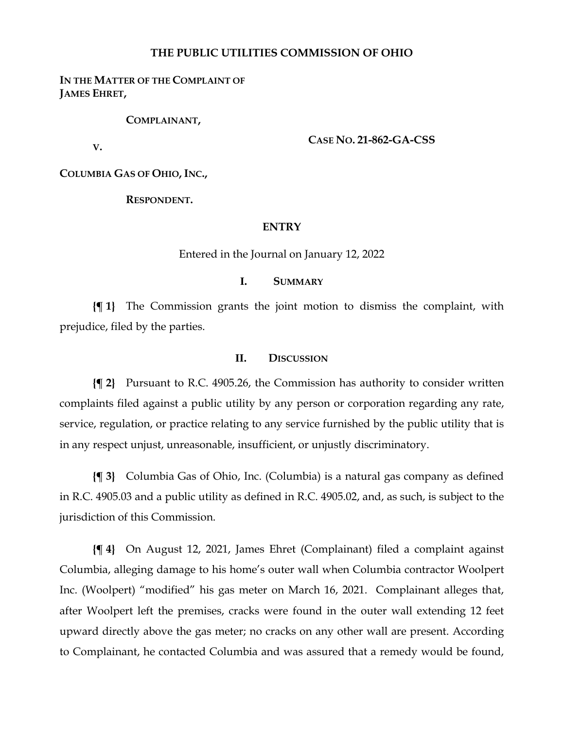### **THE PUBLIC UTILITIES COMMISSION OF OHIO**

### **IN THE MATTER OF THE COMPLAINT OF JAMES EHRET,**

**COMPLAINANT,**

**V.**

**CASE NO. 21-862-GA-CSS**

**COLUMBIA GAS OF OHIO, INC.,**

**RESPONDENT.**

#### **ENTRY**

Entered in the Journal on January 12, 2022

## **I. SUMMARY**

**{¶ 1}** The Commission grants the joint motion to dismiss the complaint, with prejudice, filed by the parties.

#### **II. DISCUSSION**

**{¶ 2}** Pursuant to R.C. 4905.26, the Commission has authority to consider written complaints filed against a public utility by any person or corporation regarding any rate, service, regulation, or practice relating to any service furnished by the public utility that is in any respect unjust, unreasonable, insufficient, or unjustly discriminatory.

**{¶ 3}** Columbia Gas of Ohio, Inc. (Columbia) is a natural gas company as defined in R.C. 4905.03 and a public utility as defined in R.C. 4905.02, and, as such, is subject to the jurisdiction of this Commission.

**{¶ 4}** On August 12, 2021, James Ehret (Complainant) filed a complaint against Columbia, alleging damage to his home's outer wall when Columbia contractor Woolpert Inc. (Woolpert) "modified" his gas meter on March 16, 2021. Complainant alleges that, after Woolpert left the premises, cracks were found in the outer wall extending 12 feet upward directly above the gas meter; no cracks on any other wall are present. According to Complainant, he contacted Columbia and was assured that a remedy would be found,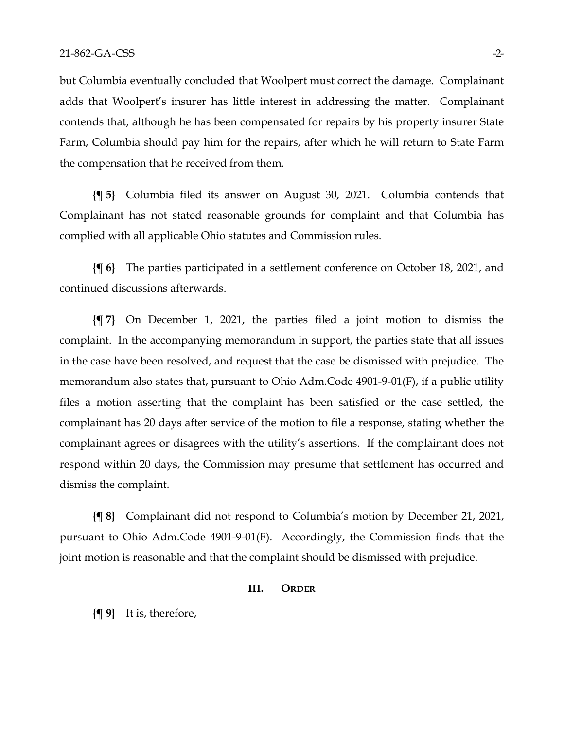but Columbia eventually concluded that Woolpert must correct the damage. Complainant adds that Woolpert's insurer has little interest in addressing the matter. Complainant contends that, although he has been compensated for repairs by his property insurer State Farm, Columbia should pay him for the repairs, after which he will return to State Farm the compensation that he received from them.

**{¶ 5}** Columbia filed its answer on August 30, 2021. Columbia contends that Complainant has not stated reasonable grounds for complaint and that Columbia has complied with all applicable Ohio statutes and Commission rules.

**{¶ 6}** The parties participated in a settlement conference on October 18, 2021, and continued discussions afterwards.

**{¶ 7}** On December 1, 2021, the parties filed a joint motion to dismiss the complaint. In the accompanying memorandum in support, the parties state that all issues in the case have been resolved, and request that the case be dismissed with prejudice. The memorandum also states that, pursuant to Ohio Adm.Code 4901-9-01(F), if a public utility files a motion asserting that the complaint has been satisfied or the case settled, the complainant has 20 days after service of the motion to file a response, stating whether the complainant agrees or disagrees with the utility's assertions. If the complainant does not respond within 20 days, the Commission may presume that settlement has occurred and dismiss the complaint.

**{¶ 8}** Complainant did not respond to Columbia's motion by December 21, 2021, pursuant to Ohio Adm.Code 4901-9-01(F). Accordingly, the Commission finds that the joint motion is reasonable and that the complaint should be dismissed with prejudice.

#### **III. ORDER**

**{¶ 9}** It is, therefore,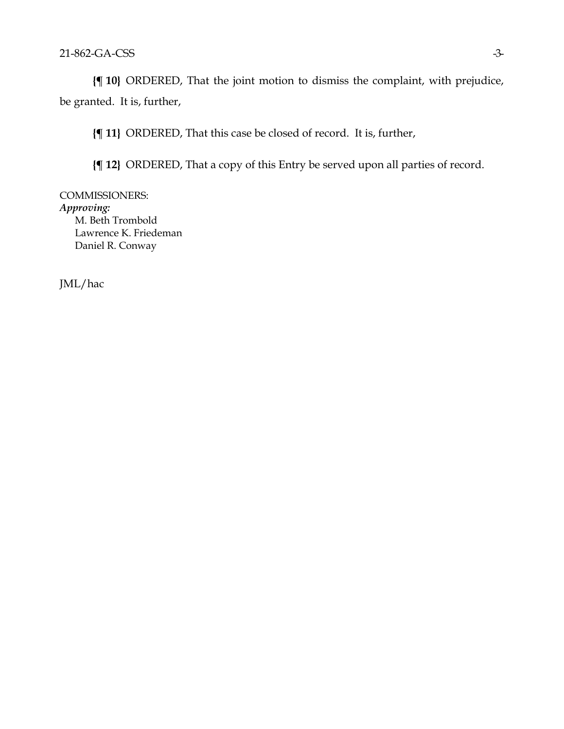**{¶ 10}** ORDERED, That the joint motion to dismiss the complaint, with prejudice, be granted. It is, further,

**{¶ 11}** ORDERED, That this case be closed of record. It is, further,

**{¶ 12}** ORDERED, That a copy of this Entry be served upon all parties of record.

COMMISSIONERS: *Approving:* M. Beth Trombold Lawrence K. Friedeman Daniel R. Conway

JML/hac